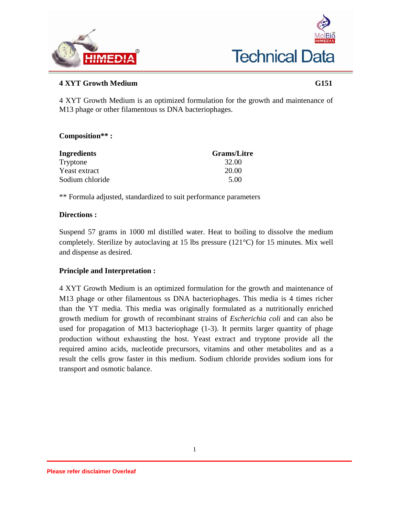



# **4 XYT Growth Medium G151**

4 XYT Growth Medium is an optimized formulation for the growth and maintenance of M13 phage or other filamentous ss DNA bacteriophages.

## **Composition\*\* :**

| <b>Ingredients</b> | <b>Grams/Litre</b> |
|--------------------|--------------------|
| Tryptone           | 32.00              |
| Yeast extract      | 20.00              |
| Sodium chloride    | 5.00               |

\*\* Formula adjusted, standardized to suit performance parameters

### **Directions :**

Suspend 57 grams in 1000 ml distilled water. Heat to boiling to dissolve the medium completely. Sterilize by autoclaving at 15 lbs pressure (121°C) for 15 minutes. Mix well and dispense as desired.

## **Principle and Interpretation :**

4 XYT Growth Medium is an optimized formulation for the growth and maintenance of M13 phage or other filamentous ss DNA bacteriophages. This media is 4 times richer than the YT media. This media was originally formulated as a nutritionally enriched growth medium for growth of recombinant strains of *Escherichia coli* and can also be used for propagation of M13 bacteriophage (1-3). It permits larger quantity of phage production without exhausting the host. Yeast extract and tryptone provide all the required amino acids, nucleotide precursors, vitamins and other metabolites and as a result the cells grow faster in this medium. Sodium chloride provides sodium ions for transport and osmotic balance.